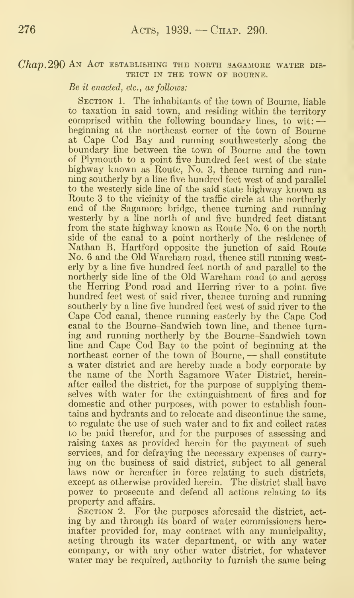#### $Chap. 290$  An Act establishing the north sagamore water dis-TRICT IN THE TOWN OF BOURNE.

Be it enacted, etc., as follows:

SECTION 1. The inhabitants of the town of Bourne, liable to taxation in said town, and residing within the territory comprised within the following boundary lines, to wit:  $\rightarrow$ beginning at the northeast corner of the town of Bourne at Cape Cod Bay and running southwesterly along the boundary line between the town of Bourne and the town of Plymouth to a point five hundred feet west of the state highway known as Route, No. 3, thence turning and run ning southerly by a line five hundred feet west of and parallel to the westerly side line of the said state highway known as Route 3 to the vicinity of the traffic circle at the northerly end of the Sagamore bridge, thence turning and running westerly by a line north of and five hundred feet distant from the state highway known as Route No. 6 on the north side of the canal to a point northerly of the residence of Nathan B. Hartford opposite the junction of said Route No. 6 and the Old Wareham road, thence still running westerly by a line five hundred feet north of and parallel to the northerly side line of the Old Wareham road to and across the Herring Pond road and Herring river to a point five hundred feet west of said river, thence turning and running southerly by a line five hundred feet west of said river to the Cape Cod canal, thence running easterly by the Cape Cod canal to the Bourne-Sandwich town line, and thence turning and running northerly by the Bourne-Sandwich town line and Cape Cod Bay to the point of beginning at the northeast corner of the town of Bourne, — shall constitute a water district and are hereby made a body corporate by the name of the North Sagamore Water District, hereinafter called the district, for the purpose of supplying themselves with water for the extinguishment of fires and for domestic and other purposes, with power to establish fountains and hydrants and to relocate and discontinue the same, to regulate the use of such water and to fix and collect rates to be paid therefor, and for the purposes of assessing and raising taxes as provided herein for the payment of such services, and for defraying the necessary expenses of carrying on the business of said district, subject to all general laws now or hereafter in force relating to such districts, except as otherwise provided herein. The district shall have power to prosecute and defend all actions relating to its property and affairs.

SECTION 2. For the purposes aforesaid the district, acting by and through its board of water commissioners hereinafter provided for, may contract with any municipality, acting through its water department, or with any water company, or with any other water district, for whatever water may be required, authority to furnish the same being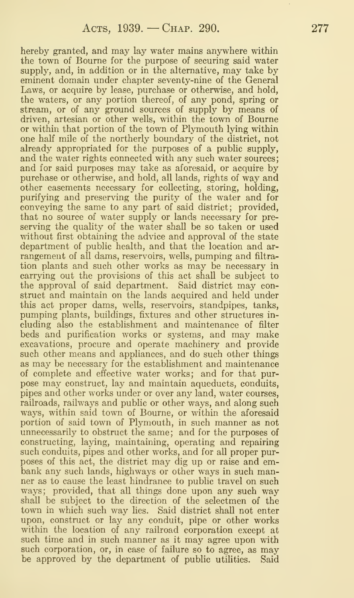hereby granted, and may lay water mains anywhere within the town of Bourne for the purpose of securing said water supply, and, in addition or in the alternative, may take by eminent domain under chapter seventy-nine of the General Laws, or acquire by lease, purchase or otherwise, and hold, the waters, or any portion thereof, of any pond, spring or stream, or of any ground sources of supply by means of driven, artesian or other wells, within the town of Bourne or within that portion of the town of Plymouth lying within one half mile of the northerly boundary of the district, not already appropriated for the purposes of a public supply, and the water rights connected with any such water sources; and for said purposes may take as aforesaid, or acquire by purchase or otherwise, and hold, all lands, rights of way and other easements necessary for collecting, storing, holding, purifying and preserving the purity of the water and for conveying the same to any part of said district; provided, that no source of water supply or lands necessary for pre serving the quality of the water shall be so taken or used without first obtaining the advice and approval of the state department of public health, and that the location and ar rangement of all dams, reservoirs, wells, pumping and filtra tion plants and such other works as may be necessary in carrying out the provisions of this act shall be subject to the approval of said department. Said district may construct and maintain on the lands acquired and held under this act proper dams, wells, reservoirs, standpipes, tanks, pumping plants, buildings, fixtures and other structures in cluding also the establishment and maintenance of filter beds and purification works or systems, and may make excavations, procure and operate machinery and provide such other means and appliances, and do such other things as may be necessary for the establishment and maintenance of complete and effective water works; and for that pur pose may construct, lay and maintain aqueducts, conduits, pipes and other works under or over any land, water courses, railroads, railways and public or other ways, and along such ways, within said town of Bourne, or within the aforesaid portion of said town of Plymouth, in such manner as not unnecessarily to obstruct the same; and for the purposes of constructing, laying, maintaining, operating and repairing such conduits, pipes and other works, and for all proper purposes of this act, the district may dig up or raise and embank any such lands, highways or other ways in such manner as to cause the least hindrance to public travel on such ways; provided, that all things done upon any such way shall be subject to the direction of the selectmen of the town in which such way lies. Said district shall not enter upon, construct or lay any conduit, pipe or other works within the location of any railroad corporation except at such time and in such manner as it may agree upon with such corporation, or, in case of failure so to agree, as may be approved by the department of public utilities. Said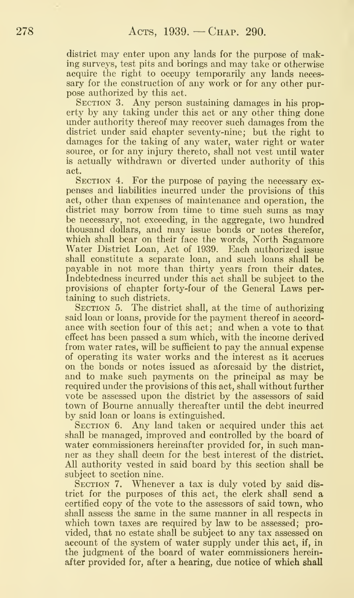district may enter upon any lands for the purpose of making surveys, test pits and borings and may take or otherwise acquire the right to occupy temporarily any lands neces sary for the construction of any work or for any other purpose authorized by this act.

SECTION 3. Any person sustaining damages in his property by any taking under this act or any other thing done under authority thereof may recover such damages from the district under said chapter seventy-nine; but the right to damages for the taking of any water, water right or water source, or for any injury thereto, shall not vest until water is actually withdrawn or diverted under authority of this act.

SECTION 4. For the purpose of paying the necessary expenses and liabilities incurred under the provisions of this act, other than expenses of maintenance and operation, the district may borrow from time to time such sums as may be necessary, not exceeding, in the aggregate, two hundred thousand dollars, and may issue bonds or notes therefor, which shall bear on their face the words, North Sagamore Water District Loan, Act of 1939. Each authorized issue shall constitute a separate loan, and such loans shall be payable in not more than thirty years from their dates. Indebtedness incurred under this act shall be subject to the provisions of chapter forty-four of the General Laws per taining to such districts.

SECTION 5. The district shall, at the time of authorizing said loan or loans, provide for the payment thereof in accord ance with section four of this act; and when a vote to that effect has been passed a sum which, with the income derived from water rates, will be sufficient to pay the annual expense of operating its water works and the interest as it accrues on the bonds or notes issued as aforesaid by the district, and to make such payments on the principal as may be required under the provisions of this act, shall without further vote be assessed upon the district by the assessors of said town of Bourne annually thereafter until the debt incurred by said loan or loans is extinguished.

SECTION 6. Any land taken or acquired under this act shall be managed, improved and controlled by the board of water commissioners hereinafter provided for, in such manner as they shall deem for the best interest of the district. All authority vested in said board by this section shall be subject to section nine.

SECTION 7. Whenever a tax is duly voted by said district for the purposes of this act, the clerk shall send a certified copy of the vote to the assessors of said town, who shall assess the same in the same manner in all respects in which town taxes are required by law to be assessed; provided, that no estate shall be subject to any tax assessed on account of the system of water supply under this act, if, in the judgment of the board of water commissioners hereinafter provided for, after a hearing, due notice of which shall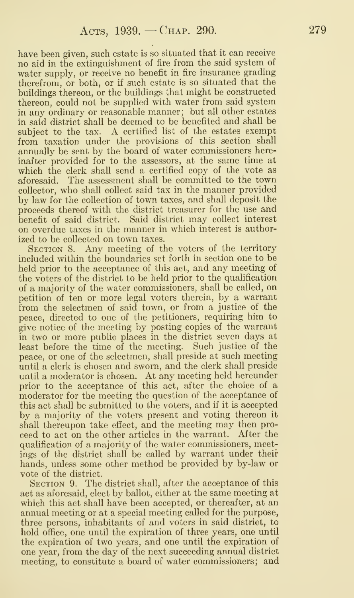have been given, such estate is so situated that it can receive no aid in the extinguishment of fire from the said system of water supply, or receive no benefit in fire insurance grading therefrom, or both, or if such estate is so situated that the buildings thereon, or the buildings that might be constructed thereon, could not be supplied with water from said system in any ordinary or reasonable manner; but all other estates in said district shall be deemed to be benefited and shall be subject to the tax. A certified list of the estates exempt from taxation under the provisions of this section shall annually be sent by the board of water commissioners hereinafter provided for to the assessors, at the same time at which the clerk shall send a certified copy of the vote as aforesaid. The assessment shall be committed to the town collector, who shall collect said tax in the manner provided by law for the collection of town taxes, and shall deposit the proceeds thereof with the district treasurer for the use and benefit of said district. Said district may collect interest on overdue taxes in the manner in which interest is authorized to be collected on town taxes.

SECTION 8. Any meeting of the voters of the territory included within the boundaries set forth in section one to be held prior to the acceptance of this act, and any meeting of the voters of the district to be held prior to the quahfication of a majority of the water commissioners, shall be called, on petition of ten or more legal voters therein, by a warrant from the selectmen of said town, or from a justice of the peace, directed to one of the petitioners, requiring him to give notice of the meeting by posting copies of the warrant in two or more public places in the district seven days at least before the time of the meeting. Such justice of the peace, or one of the selectmen, shall preside at such meeting until a clerk is chosen and sworn, and the clerk shall preside until a moderator is chosen. At any meeting held hereunder prior to the acceptance of this act, after the choice of a moderator for the meeting the question of the acceptance of this act shall be submitted to the voters, and if it is accepted by a majority of the voters present and voting thereon it shall thereupon take effect, and the meeting may then pro ceed to act on the other articles in the warrant. After the qualification of a majority of the water commissioners, meetings of the district shall be called by warrant under their hands, unless some other method be provided by by-law or vote of the district.

SECTION 9. The district shall, after the acceptance of this act as aforesaid, elect by ballot, either at the same meeting at which this act shall have been accepted, or thereafter, at an annual meeting or at a special meeting called for the purpose, three persons, inhabitants of and voters in said district, to hold office, one until the expiration of three years, one until the expiration of two years, and one until the expiration of one year, from the day of the next succeeding annual district meeting, to constitute a board of water commissioners; and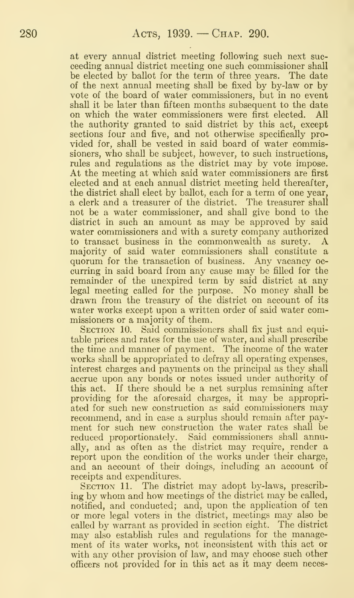at every annual district meeting following such next suc ceeding annual district meeting one such commissioner shall be elected by ballot for the term of three years. The date of the next annual meeting shall be fixed by by-law or by vote of the board of water commissioners, but in no event shall it be later than fifteen months subsequent to the date<br>on which the water commissioners were first elected. All on which the water commissioners were first elected. the authority granted to said district by this act, except sections four and five, and not otherwise specifically pro vided for, shall be vested in said board of water commissioners, who shall be subject, however, to such instructions, rules and regulations as the district may by vote impose. At the meeting at which said water commissioners are first elected and at each annual district meeting held thereafter, the district shall elect by ballot, each for a term of one year, a clerk and a treasurer of the district. The treasurer shall not be a water commissioner, and shall give bond to the district in such an amount as may be approved by said water commissioners and with a surety company authorized<br>to transact business in the commonwealth as surety. A to transact business in the commonwealth as surety. majority of said water commissioners shall constitute a quorum for the transaction of business. Any vacancy oc curring in said board from any cause may be filled for the remainder of the unexpired term by said district at any legal meeting called for the purpose. No money shall be drawn from the treasury of the district on account of its water works except upon a written order of said water commissioners or a majority of them.

SECTION 10. Said commissioners shall fix just and equitable prices and rates for the use of water, and shall prescribe the time and manner of payment. The income of the water works shall be appropriated to defray all operating expenses, interest charges and payments on the principal as they shall accrue upon any bonds or notes issued under authority of this act. If there should be a net surplus remaining after providing for the aforesaid charges, it may be appropri ated for such new construction as said commissioners may recommend, and in case a surplus should remain after pay ment for such new construction the water rates shall be reduced proportionately. Said commissioners shall annually, and as often as the district may require, render a report upon the condition of the works under their charge, and an account of their doings, including an account of receipts and expenditures.

SECTION 11. The district may adopt by-laws, prescribing by whom and how meetings of the district may be called, notified, and conducted; and, upon the application of ten or more legal voters in the district, meetings may also be called by warrant as provided in section eight. The district may also establish rules and regulations for the manage ment of its water works, not inconsistent with this act or with any other provision of law, and may choose such other officers not provided for in this act as it may deem neces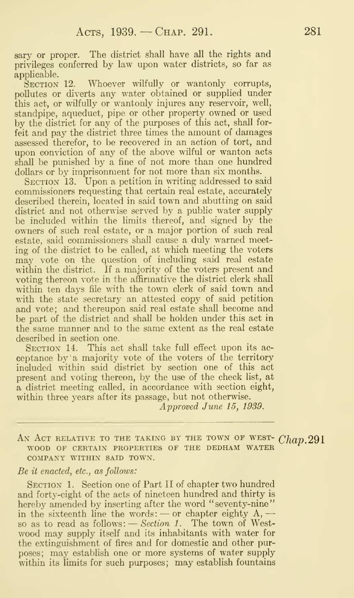sary or proper. The district shall have all the rights and privileges conferred by law upon water districts, so far as applicable.<br>SECTION 12.

Whoever wilfully or wantonly corrupts, pollutes or diverts any water obtained or supplied under this act, or wilfully or wantonly injures any reservoir, well, standpipe, aqueduct, pipe or other property owned or used by the district for any of the purposes of this act, shall forfeit and pay the district three times the amount of damages assessed therefor, to be recovered in an action of tort, and upon conviction of any of the above wilful or wanton acts shall be punished by a fine of not more than one hundred dollars or by imprisonment for not more than six months.

SECTION 13. Upon a petition in writing addressed to said commissioners requesting that certain real estate, accurately described therein, located in said town and abutting on said district and not otherwise served by a public water supply be included within the limits thereof, and signed by the owners of such real estate, or a major portion of such real estate, said commissioners shall cause a duly warned meeting of the district to be called, at which meeting the voters may vote on the question of including said real estate within the district. If a majority of the voters present and voting thereon vote in the affirmative the district clerk shall within ten days file with the town clerk of said town and with the state secretary an attested copy of said petition and vote; and thereupon said real estate shall become and be part of the district and shall be holden under this act in the same manner and to the same extent as the real estate described in section one.

SECTION 14. This act shall take full effect upon its acceptance by a majority vote of the voters of the territory included within said district by section one of this act present and voting thereon, by the use of the check list, at a district meeting called, in accordance with section eight, within three years after its passage, but not otherwise.

Approved June 15, 1939.

AN ACT RELATIVE TO THE TAKING BY THE TOWN OF WEST-  $Chap.291$ WOOD OF CERTAIN PROPERTIES OF THE DEDHAM WATER COMPANY WITHIN SAID TOWN.

#### Be it enacted, etc., as follows:

SECTION 1. Section one of Part II of chapter two hundred and forty-eight of the acts of nineteen hundred and thirty is hereby amended by inserting after the word "seventy-nine" nereby amended by inserting after the word seventy-filme<br>in the sixteenth line the words: — or chapter eighty  $A$ , in the sixteenth line the words: — or chapter eighty  $A$ , —<br>so as to read as follows: — *Section 1*. The town of Westwood may supply itself and its inhabitants with water for the extinguishment of fires and for domestic and other purposes; may establish one or more systems of water supply within its limits for such purposes; may establish fountains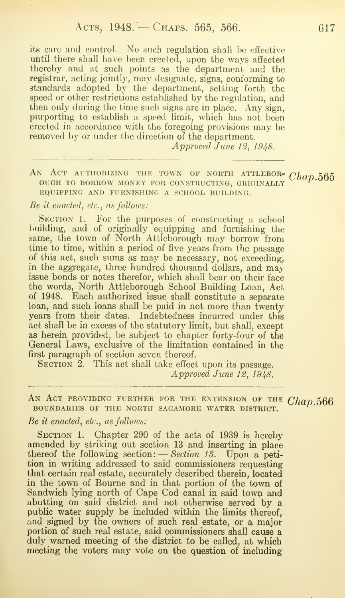its care and control. No such regulation shall be effective until there shall have been erected, upon the ways affected thereby and at such points as the department and the registrar, acting jointly, may designate, signs, conforming to standards adopted by the department, setting forth the speed or other restrictions established by the regulation, and then only during the time such signs are in place. Any sign, purporting to establish a speed limit, which has not been erected in accordance with the foregoing provisions may be removed by or under the direction of the department.

Approved June 12, 1948.

AN ACT AUTHORIZING THE TOWN OF NORTH ATTLEBOR-  $Chap.565$ ough to borrow money for constructing, originally equipping and furnishing a school building.

## Be it enacted, etc., as follows:

SECTION 1. For the purposes of constructing a school building, and of originally equipping and furnishing the same, the town of North Attleborough may borrow from time to time, within a period of five years from the passage of this act, such sums as may be necessary, not exceeding, in the aggregate, three hundred thousand dollars, and may issue bonds or notes therefor, which shall bear on their face the words, North Attleborough School Building Loan, Act of 1948. Each authorized issue shall constitute a separate loan, and such loans shall be paid in not more than twenty years from their dates. Indebtedness incurred under this act shall be in excess of the statutory limit, but shall, except as herein provided, be subject to chapter forty-four of the General Laws, exclusive of the limitation contained in the first paragraph of section seven thereof.

SECTION 2. This act shall take effect upon its passage. Approved June 12, 1948.

AN ACT PROVIDING FURTHER FOR THE EXTENSION OF THE  $Chap.566$ boundaries of the north sagamore water district.

# Be it enacted, etc., as follows:

SECTION 1. Chapter 290 of the acts of 1939 is hereby amended by striking out section 13 and inserting in place thereof the following section: — Section IS. Upon <sup>a</sup> petition in writing addressed to said commissioners requesting that certain real estate, accurately described therein, located in the town of Bourne and in that portion of the town of Sandwich lying north of Cape Cod canal in said town and abutting on said district and not otherwise served by a public water supply be included within the limits thereof, and signed by the owners of such real estate, or a major portion of such real estate, said commissioners shall cause a duly warned meeting of the district to be called, at which meeting the voters may vote on the question of including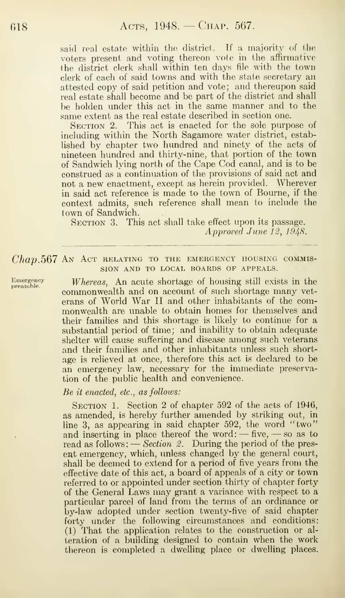said real estate within the district. If a majority of the voters present and voting thereon vote in the affirmative the district clerk shall within ten days file with the town clerk of each of said towns and with the state secretary an attested copy of said petition and vote; and thereupon said real estate shall become and be part of the district and shall be holden under this act in the same manner and to the same extent as the real estate described in section one.

SECTION 2. This act is enacted for the sole purpose of including within the North Sagamore water district, established by chapter two hundred and ninety of the acts of nineteen hundred and thirty-nine, that portion of the town of Sandwich lying north of the Cape Cod canal, and is to be construed as a continuation of the provisions of said act and not a new enactment, except as herein provided. Wherever in said act reference is made to the town of Bourne, if the context admits, such reference shall mean to include the town of Sandwich.

SECTION 3. This act shall take effect upon its passage. Approved June 12, 1948.

# $Chap. 567$  An Act relating to the emergency housing commission AND TO LOCAL BOARDS OF APPEALS.

Emergency Whereas, An acute shortage of housing still exists in the commonwealth and on account of such shortage many veterans of World War II and other inhabitants of the commonwealth are unable to obtain homes for themselves and their families and this shortage is likely to continue for a substantial period of time; and inability to obtain adequate shelter will cause suffering and disease among such veterans and their families and other inhabitants unless such shortage is relieved at once, therefore this act is declared to be an emergency law, necessary for the immediate preservation of the public health and convenience.

## $Be$  it enacted, etc., as follows:

SECTION 1. Section 2 of chapter 592 of the acts of 1946, as amended, is hereby further amended by striking out, in line 3, as appearing in said chapter 592, the word "two" and inserting in place thereof the word:  $-\text{five}, -\text{so}$  as to read as follows:  $-$  *Section 2.* During the period of the present emergency, which, unless changed by the general court, shall be deemed to extend for a period of five years from the effective date of this act, a board of appeals of a city or town referred to or appointed under section thirty of chapter forty of the General Laws may grant a variance with respect to a particular parcel of land from the terms of an ordinance or by-law adopted under section twenty-five of said chapter forty under the following circumstances and conditions: (1) That the application relates to the construction or alteration of a building designed to contain when the work thereon is completed a dwelling place or dwelling places.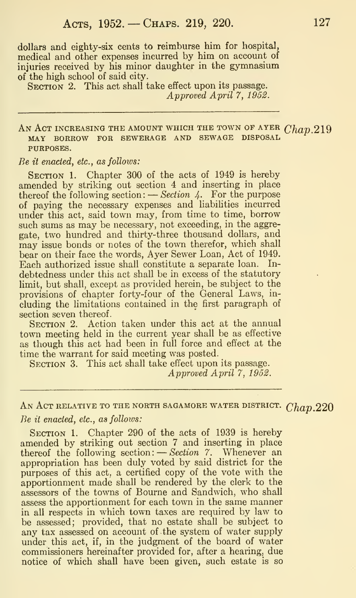dollars and eighty-six cents to reimburse him for hospital, medical and other expenses incurred by him on account of injuries received by his minor daughter in the gymnasium of the high school of said city.

SECTION 2. This act shall take effect upon its passage. Approved April 7, 1952.

AN ACT INCREASING THE AMOUNT WHICH THE TOWN OF AYER  $Chap.219$ MAY BORROW FOR SEWERAGE AND SEWAGE DISPOSAL PURPOSES.

Be it enacted, etc., as follows:

SECTION 1. Chapter 300 of the acts of 1949 is hereby amended by striking out section 4 and inserting in place amended by striking out section 4 and inserting in place<br>thereof the following section: — Section 4. For the purpose of paying the necessary expenses and liabilities incurred under this act, said town may, from time to time, borrow such sums as may be necessary, not exceeding, in the aggregate, two hundred and thirty-three thousand dollars, and may issue bonds or notes of the town therefor, which shall bear on their face the words, Ayer Sewer Loan, Act of 1949. Each authorized issue shall constitute a separate loan. In debtedness under this act shall be in excess of the statutory limit, but shall, except as provided herein, be subject to the provisions of chapter forty-four of the General Laws, in cluding the limitations contained in the first paragraph of section seven thereof.

SECTION 2. Action taken under this act at the annual town meeting held in the current year shall be as effective as though this act had been in full force and effect at the time the warrant for said meeting was posted.

SECTION 3. This act shall take effect upon its passage. Approved April 7, 1952.

# AN ACT RELATIVE TO THE NORTH SAGAMORE WATER DISTRICT.  $Chap.220$ Be it enacted, etc., as follows:

SECTION 1. Chapter 290 of the acts of 1939 is hereby amended by striking out section 7 and inserting in place thereof the following section:  $-$  Section 7. Whenever an appropriation has been duly voted by said district for the purposes of this act, a certified copy of the vote with the apportionment made shall be rendered by the clerk to the assessors of the towns of Bourne and Sandwich, who shall assess the apportionment for each town in the same manner in all respects in which town taxes are required by law to be assessed; provided, that no estate shall be subject to any tax assessed on account of the system of water supply under this act, if, in the judgment of the board of water commissioners hereinafter provided for, after a hearing, due notice of which shall have been given, such estate is so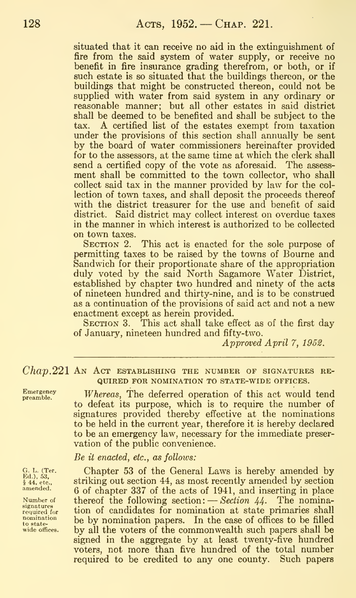situated that it can receive no aid in the extinguishment of fire from the said system of water supply, or receive no benefit in fire insurance grading therefrom, or both, or if such estate is so situated that the buildings thereon, or the buildings that might be constructed thereon, could not be supplied with water from said system in any ordinary or reasonable manner; but all other estates in said district shall be deemed to be benefited and shall be subject to the tax. A certified list of the estates exempt from taxation under the provisions of this section shall annually be sent by the board of water commissioners hereinafter provided for to the assessors, at the same time at which the clerk shall send a certified copy of the vote as aforesaid. The assess ment shall be committed to the town collector, who shall collect said tax in the manner provided by law for the col lection of town taxes, and shall deposit the proceeds thereof with the district treasurer for the use and benefit of said district. Said district may collect interest on overdue taxes in the manner in which interest is authorized to be collected on town taxes.

SECTION 2. This act is enacted for the sole purpose of permitting taxes to be raised by the towns of Bourne and Sandwich for their proportionate share of the appropriation duly voted by the said North Sagamore Water District, established by chapter two hundred and ninety of the acts of nineteen hundred and thirty-nine, and is to be construed as a continuation of the provisions of said act and not a new enactment except as herein provided.<br>SECTION 3. This act shall take ef-

This act shall take effect as of the first day of January, nineteen hundred and fifty-two.

Approved April 7, 1952.

 $Chap. 221$  An Act establishing the number of signatures required FOR NOMINATION TO STATE-WIDE OFFICES.

§ 44, etc.,<br>amended.

 $E<sub>mergenby</sub>$  Whereas, The deferred operation of this act would tend to defeat its purpose, which is to require the number of signatures provided thereby effective at the nominations to be held in the current year, therefore it is hereby declared to be an emergency law, necessary for the immediate preser vation of the public convenience.

Be it enacted, etc., as follows:

G. L. (Ter. Chapter 53 of the General Laws is hereby amended by Ed.), 53, striking out section 44, as most recently amended by section 6 of chapter 337 of the acts of 1941, and inserting in place  $N$ umber of thereof the following section:  $-$  Section 44. The nominarequired  $\epsilon$  tion of candidates for nomination at state primaries shall<br>required for the by nomination papers. In the case of offices to be filled  $\begin{array}{ll}\n\text{nonination} & \text{be by nonination papers.} \\
\text{to state} & \text{three} \\
\text{wide offices.} & \text{by all the voters of the common wealth such names shall be}\n\end{array}$ by all the voters of the commonwealth such papers shall be signed in the aggregate by at least twenty-five hundred voters, not more than five hundred of the total number required to be credited to any one county. Such papers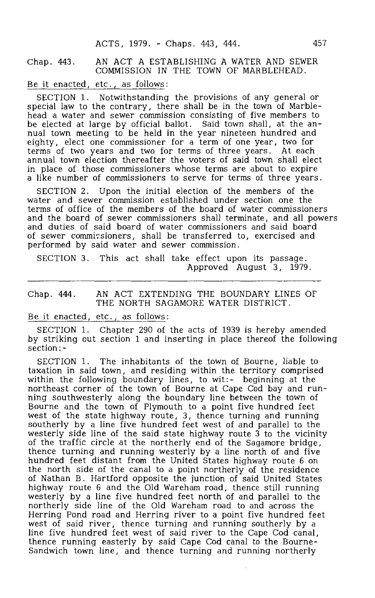## Chap . 443. AN ACT A ESTABLISHING A WATER AND SEWER COMMISSION IN THE TOWN OF MARBLEHEAD.

Be it enacted, etc. , as follows:

SECTION 1. Notwithstanding the provisions of any general or special law to the contrary, there shall be in the town of Marblehead a water and sewer commission consisting of five members to be elected at large by official ballot. Said town shall, at the annual town meeting to be held in the year nineteen hundred and eighty, elect one commissioner for a term of one year, two for terms of two years and two for terms of three years. At each annual town election thereafter the voters of said town shall elect in place of those commissioners whose terms are about to expire a like number of commissioners to serve for terms of three years.

SECTION 2. Upon the initial election of the members of the water and sewer commission established under section one the terms of office of the members of the board of water commissioners and the board of sewer commissioners shall terminate, and all powers and duties of said board of water commissioners and said board of sewer commissioners, shall be transferred to, exercised and performed by said water and sewer commission.

SECTION 3. This act shall take effect upon its passage. Approved August 3, 1979.

### Chap. 444. AN ACT EXTENDING THE BOUNDARY LINES OF THE NORTH SAGAMORE WATER DISTRICT.

### Be it enacted, etc. , as follows:

SECTION 1. Chapter 290 of the acts of 1939 is hereby amended by striking out section 1 and inserting in place thereof the following section:-

SECTION 1. The inhabitants of the town of Bourne, liable to taxation in said town, and residing within the territory comprised within the following boundary lines, to wit:- beginning at the northeast corner of the town of Bourne at Cape Cod bay and running southwesterly along the boundary line between the town of Bourne and the town of Plymouth to a point five hundred feet west of the state highway route, 3, thence turning and running southerly by a line five hundred feet west of and parallel to the westerly side line of the said state highway route 3 to the vicinity of the traffic circle at the northerly end of the Sagamore bridge , thence turning and running westerly by a line north of and five hundred feet distant from the United States highway route 6 on the north side of the canal to a point northerly of the residence of Nathan B. Hartford opposite the junction of said United States highway route 6 and the Old Wareham road, thence still running westerly by a line five hundred feet north of and parallel to the northerly side line of the Old Wareham road to and across the Herring Pond road and Herring river to a point five hundred feet west of said river, thence turning and running southerly by a line five hundred feet west of said river to the Cape Cod canal, thence running easterly by said Cape Cod canal to the Bourne-Sandwich town line, and thence turning and running northerly